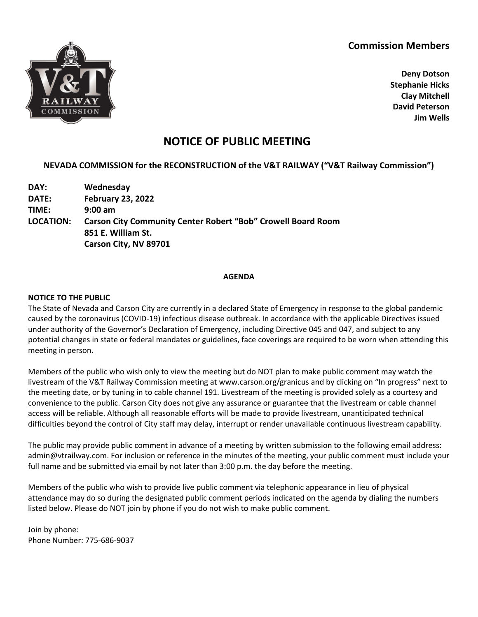## **Commission Members**



**Deny Dotson Stephanie Hicks Clay Mitchell David Peterson Jim Wells**

# **NOTICE OF PUBLIC MEETING**

## **NEVADA COMMISSION for the RECONSTRUCTION of the V&T RAILWAY ("V&T Railway Commission")**

**DAY: Wednesday DATE: February 23, 2022 TIME: 9:00 am LOCATION: Carson City Community Center Robert "Bob" Crowell Board Room 851 E. William St. Carson City, NV 89701**

#### **AGENDA**

#### **NOTICE TO THE PUBLIC**

The State of Nevada and Carson City are currently in a declared State of Emergency in response to the global pandemic caused by the coronavirus (COVID-19) infectious disease outbreak. In accordance with the applicable Directives issued under authority of the Governor's Declaration of Emergency, including Directive 045 and 047, and subject to any potential changes in state or federal mandates or guidelines, face coverings are required to be worn when attending this meeting in person.

Members of the public who wish only to view the meeting but do NOT plan to make public comment may watch the livestream of the V&T Railway Commission meeting at www.carson.org/granicus and by clicking on "In progress" next to the meeting date, or by tuning in to cable channel 191. Livestream of the meeting is provided solely as a courtesy and convenience to the public. Carson City does not give any assurance or guarantee that the livestream or cable channel access will be reliable. Although all reasonable efforts will be made to provide livestream, unanticipated technical difficulties beyond the control of City staff may delay, interrupt or render unavailable continuous livestream capability.

The public may provide public comment in advance of a meeting by written submission to the following email address: admin@vtrailway.com. For inclusion or reference in the minutes of the meeting, your public comment must include your full name and be submitted via email by not later than 3:00 p.m. the day before the meeting.

Members of the public who wish to provide live public comment via telephonic appearance in lieu of physical attendance may do so during the designated public comment periods indicated on the agenda by dialing the numbers listed below. Please do NOT join by phone if you do not wish to make public comment.

Join by phone: Phone Number: 775-686-9037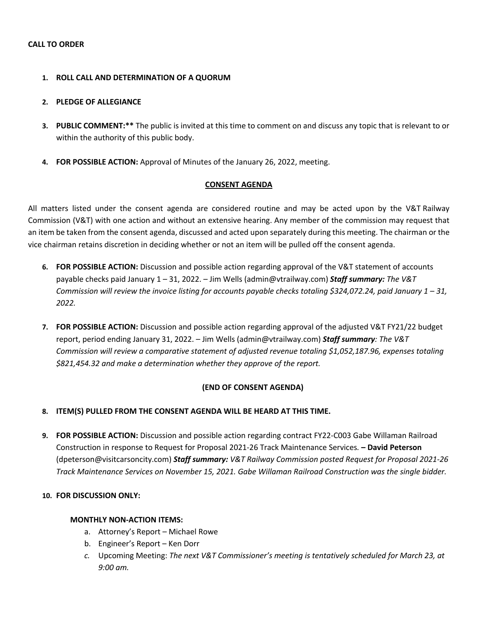#### **1. ROLL CALL AND DETERMINATION OF A QUORUM**

#### **2. PLEDGE OF ALLEGIANCE**

- **3. PUBLIC COMMENT:\*\*** The public is invited at this time to comment on and discuss any topic that is relevant to or within the authority of this public body.
- **4. FOR POSSIBLE ACTION:** Approval of Minutes of the January 26, 2022, meeting.

#### **CONSENT AGENDA**

All matters listed under the consent agenda are considered routine and may be acted upon by the V&T Railway Commission (V&T) with one action and without an extensive hearing. Any member of the commission may request that an item be taken from the consent agenda, discussed and acted upon separately during this meeting. The chairman or the vice chairman retains discretion in deciding whether or not an item will be pulled off the consent agenda.

- **6. FOR POSSIBLE ACTION:** Discussion and possible action regarding approval of the V&T statement of accounts payable checks paid January 1 – 31, 2022. – Jim Wells (admin@vtrailway.com) *Staff summary: The V&T Commission will review the invoice listing for accounts payable checks totaling \$324,072.24, paid January 1 – 31, 2022.*
- **7. FOR POSSIBLE ACTION:** Discussion and possible action regarding approval of the adjusted V&T FY21/22 budget report, period ending January 31, 2022. – Jim Wells (admin@vtrailway.com) *Staff summary: The V&T Commission will review a comparative statement of adjusted revenue totaling \$1,052,187.96, expenses totaling \$821,454.32 and make a determination whether they approve of the report.*

#### **(END OF CONSENT AGENDA)**

#### **8. ITEM(S) PULLED FROM THE CONSENT AGENDA WILL BE HEARD AT THIS TIME.**

**9. FOR POSSIBLE ACTION:** Discussion and possible action regarding contract FY22-C003 Gabe Willaman Railroad Construction in response to Request for Proposal 2021-26 Track Maintenance Services*.* **– David Peterson** (dpeterson@visitcarsoncity.com) *Staff summary: V&T Railway Commission posted Request for Proposal 2021-26 Track Maintenance Services on November 15, 2021. Gabe Willaman Railroad Construction was the single bidder.* 

#### **10. FOR DISCUSSION ONLY:**

#### **MONTHLY NON-ACTION ITEMS:**

- a. Attorney's Report Michael Rowe
- b. Engineer's Report Ken Dorr
- *c.* Upcoming Meeting: *The next V&T Commissioner's meeting is tentatively scheduled for March 23, at 9:00 am.*